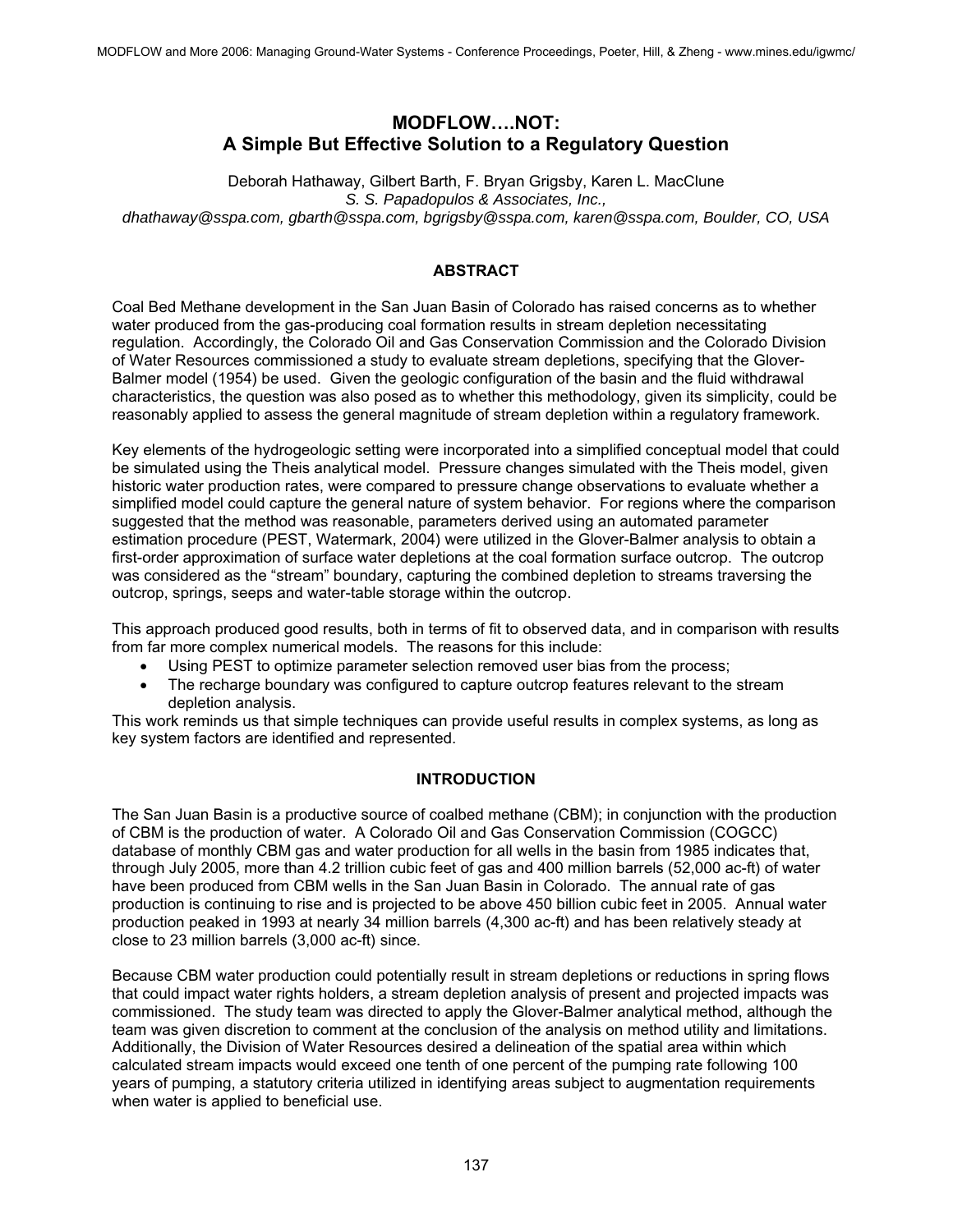# **MODFLOW….NOT: A Simple But Effective Solution to a Regulatory Question**

Deborah Hathaway, Gilbert Barth, F. Bryan Grigsby, Karen L. MacClune *S. S. Papadopulos & Associates, Inc., dhathaway@sspa.com, gbarth@sspa.com, bgrigsby@sspa.com, karen@sspa.com, Boulder, CO, USA* 

## **ABSTRACT**

Coal Bed Methane development in the San Juan Basin of Colorado has raised concerns as to whether water produced from the gas-producing coal formation results in stream depletion necessitating regulation. Accordingly, the Colorado Oil and Gas Conservation Commission and the Colorado Division of Water Resources commissioned a study to evaluate stream depletions, specifying that the Glover-Balmer model (1954) be used. Given the geologic configuration of the basin and the fluid withdrawal characteristics, the question was also posed as to whether this methodology, given its simplicity, could be reasonably applied to assess the general magnitude of stream depletion within a regulatory framework.

Key elements of the hydrogeologic setting were incorporated into a simplified conceptual model that could be simulated using the Theis analytical model. Pressure changes simulated with the Theis model, given historic water production rates, were compared to pressure change observations to evaluate whether a simplified model could capture the general nature of system behavior. For regions where the comparison suggested that the method was reasonable, parameters derived using an automated parameter estimation procedure (PEST, Watermark, 2004) were utilized in the Glover-Balmer analysis to obtain a first-order approximation of surface water depletions at the coal formation surface outcrop. The outcrop was considered as the "stream" boundary, capturing the combined depletion to streams traversing the outcrop, springs, seeps and water-table storage within the outcrop.

This approach produced good results, both in terms of fit to observed data, and in comparison with results from far more complex numerical models. The reasons for this include:

- Using PEST to optimize parameter selection removed user bias from the process;
- The recharge boundary was configured to capture outcrop features relevant to the stream depletion analysis.

This work reminds us that simple techniques can provide useful results in complex systems, as long as key system factors are identified and represented.

## **INTRODUCTION**

The San Juan Basin is a productive source of coalbed methane (CBM); in conjunction with the production of CBM is the production of water. A Colorado Oil and Gas Conservation Commission (COGCC) database of monthly CBM gas and water production for all wells in the basin from 1985 indicates that, through July 2005, more than 4.2 trillion cubic feet of gas and 400 million barrels (52,000 ac-ft) of water have been produced from CBM wells in the San Juan Basin in Colorado. The annual rate of gas production is continuing to rise and is projected to be above 450 billion cubic feet in 2005. Annual water production peaked in 1993 at nearly 34 million barrels (4,300 ac-ft) and has been relatively steady at close to 23 million barrels (3,000 ac-ft) since.

Because CBM water production could potentially result in stream depletions or reductions in spring flows that could impact water rights holders, a stream depletion analysis of present and projected impacts was commissioned. The study team was directed to apply the Glover-Balmer analytical method, although the team was given discretion to comment at the conclusion of the analysis on method utility and limitations. Additionally, the Division of Water Resources desired a delineation of the spatial area within which calculated stream impacts would exceed one tenth of one percent of the pumping rate following 100 years of pumping, a statutory criteria utilized in identifying areas subject to augmentation requirements when water is applied to beneficial use.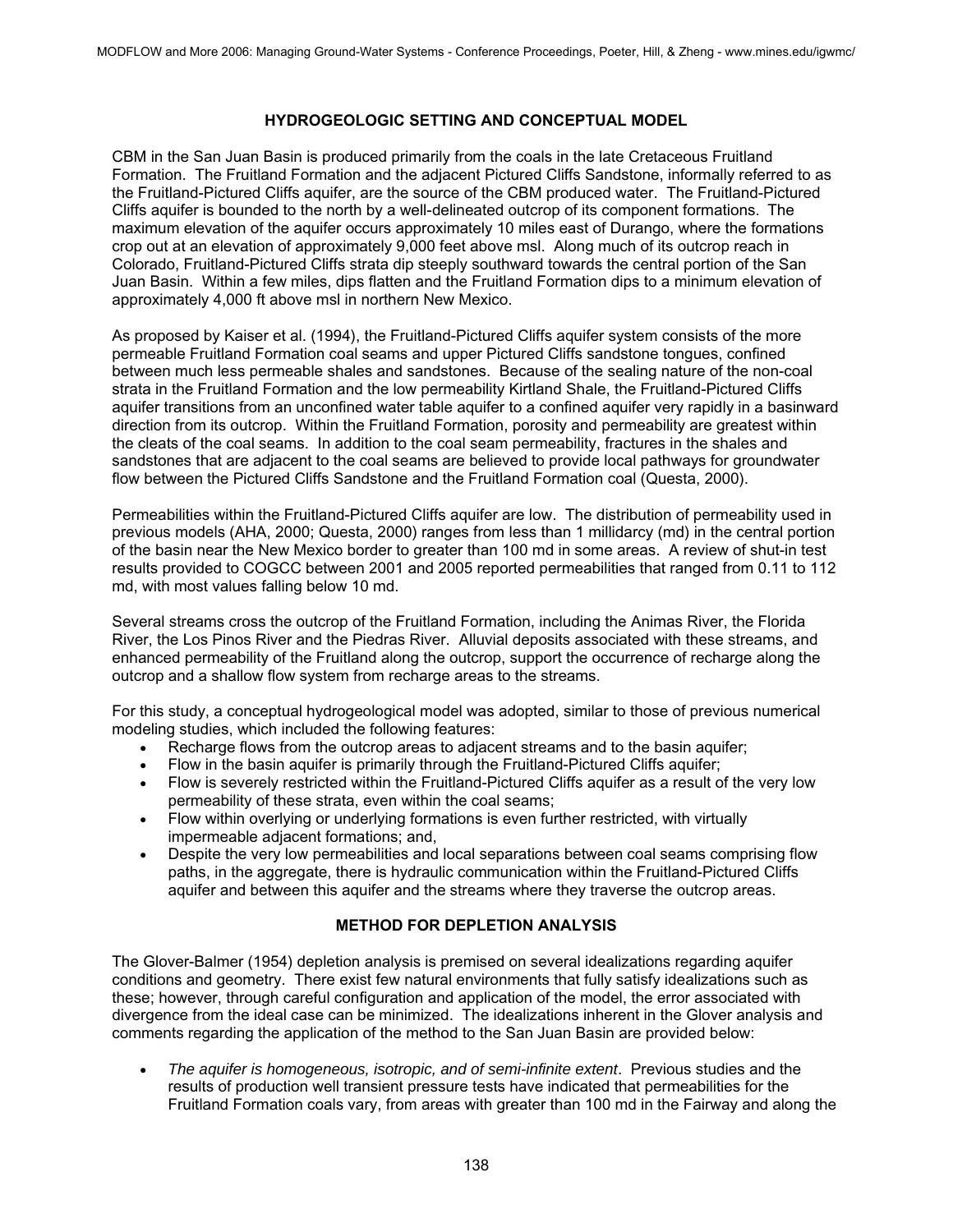## **HYDROGEOLOGIC SETTING AND CONCEPTUAL MODEL**

CBM in the San Juan Basin is produced primarily from the coals in the late Cretaceous Fruitland Formation. The Fruitland Formation and the adjacent Pictured Cliffs Sandstone, informally referred to as the Fruitland-Pictured Cliffs aquifer, are the source of the CBM produced water. The Fruitland-Pictured Cliffs aquifer is bounded to the north by a well-delineated outcrop of its component formations. The maximum elevation of the aquifer occurs approximately 10 miles east of Durango, where the formations crop out at an elevation of approximately 9,000 feet above msl. Along much of its outcrop reach in Colorado, Fruitland-Pictured Cliffs strata dip steeply southward towards the central portion of the San Juan Basin. Within a few miles, dips flatten and the Fruitland Formation dips to a minimum elevation of approximately 4,000 ft above msl in northern New Mexico.

As proposed by Kaiser et al. (1994), the Fruitland-Pictured Cliffs aquifer system consists of the more permeable Fruitland Formation coal seams and upper Pictured Cliffs sandstone tongues, confined between much less permeable shales and sandstones. Because of the sealing nature of the non-coal strata in the Fruitland Formation and the low permeability Kirtland Shale, the Fruitland-Pictured Cliffs aquifer transitions from an unconfined water table aquifer to a confined aquifer very rapidly in a basinward direction from its outcrop. Within the Fruitland Formation, porosity and permeability are greatest within the cleats of the coal seams. In addition to the coal seam permeability, fractures in the shales and sandstones that are adjacent to the coal seams are believed to provide local pathways for groundwater flow between the Pictured Cliffs Sandstone and the Fruitland Formation coal (Questa, 2000).

Permeabilities within the Fruitland-Pictured Cliffs aquifer are low. The distribution of permeability used in previous models (AHA, 2000; Questa, 2000) ranges from less than 1 millidarcy (md) in the central portion of the basin near the New Mexico border to greater than 100 md in some areas. A review of shut-in test results provided to COGCC between 2001 and 2005 reported permeabilities that ranged from 0.11 to 112 md, with most values falling below 10 md.

Several streams cross the outcrop of the Fruitland Formation, including the Animas River, the Florida River, the Los Pinos River and the Piedras River. Alluvial deposits associated with these streams, and enhanced permeability of the Fruitland along the outcrop, support the occurrence of recharge along the outcrop and a shallow flow system from recharge areas to the streams.

For this study, a conceptual hydrogeological model was adopted, similar to those of previous numerical modeling studies, which included the following features:

- Recharge flows from the outcrop areas to adiacent streams and to the basin aquifer:
- Flow in the basin aquifer is primarily through the Fruitland-Pictured Cliffs aquifer;
- Flow is severely restricted within the Fruitland-Pictured Cliffs aquifer as a result of the very low permeability of these strata, even within the coal seams;
- Flow within overlying or underlying formations is even further restricted, with virtually impermeable adjacent formations; and,
- Despite the very low permeabilities and local separations between coal seams comprising flow paths, in the aggregate, there is hydraulic communication within the Fruitland-Pictured Cliffs aquifer and between this aquifer and the streams where they traverse the outcrop areas.

## **METHOD FOR DEPLETION ANALYSIS**

The Glover-Balmer (1954) depletion analysis is premised on several idealizations regarding aquifer conditions and geometry. There exist few natural environments that fully satisfy idealizations such as these; however, through careful configuration and application of the model, the error associated with divergence from the ideal case can be minimized. The idealizations inherent in the Glover analysis and comments regarding the application of the method to the San Juan Basin are provided below:

• *The aquifer is homogeneous, isotropic, and of semi-infinite extent*. Previous studies and the results of production well transient pressure tests have indicated that permeabilities for the Fruitland Formation coals vary, from areas with greater than 100 md in the Fairway and along the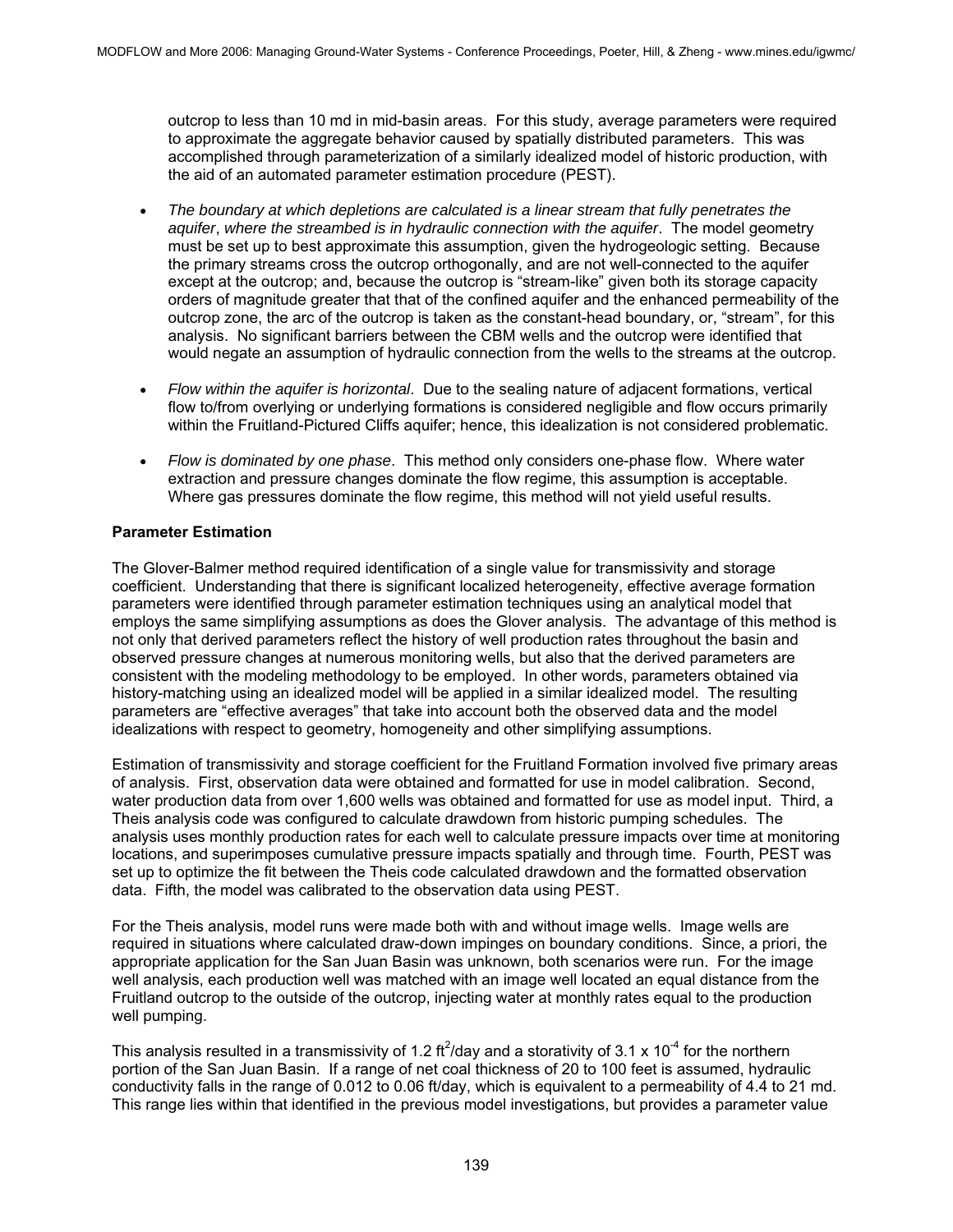outcrop to less than 10 md in mid-basin areas. For this study, average parameters were required to approximate the aggregate behavior caused by spatially distributed parameters. This was accomplished through parameterization of a similarly idealized model of historic production, with the aid of an automated parameter estimation procedure (PEST).

- *The boundary at which depletions are calculated is a linear stream that fully penetrates the aquifer*, *where the streambed is in hydraulic connection with the aquifer*. The model geometry must be set up to best approximate this assumption, given the hydrogeologic setting. Because the primary streams cross the outcrop orthogonally, and are not well-connected to the aquifer except at the outcrop; and, because the outcrop is "stream-like" given both its storage capacity orders of magnitude greater that that of the confined aquifer and the enhanced permeability of the outcrop zone, the arc of the outcrop is taken as the constant-head boundary, or, "stream", for this analysis. No significant barriers between the CBM wells and the outcrop were identified that would negate an assumption of hydraulic connection from the wells to the streams at the outcrop.
- *Flow within the aquifer is horizontal*. Due to the sealing nature of adjacent formations, vertical flow to/from overlying or underlying formations is considered negligible and flow occurs primarily within the Fruitland-Pictured Cliffs aquifer; hence, this idealization is not considered problematic.
- *Flow is dominated by one phase*. This method only considers one-phase flow. Where water extraction and pressure changes dominate the flow regime, this assumption is acceptable. Where gas pressures dominate the flow regime, this method will not yield useful results.

#### **Parameter Estimation**

The Glover-Balmer method required identification of a single value for transmissivity and storage coefficient. Understanding that there is significant localized heterogeneity, effective average formation parameters were identified through parameter estimation techniques using an analytical model that employs the same simplifying assumptions as does the Glover analysis. The advantage of this method is not only that derived parameters reflect the history of well production rates throughout the basin and observed pressure changes at numerous monitoring wells, but also that the derived parameters are consistent with the modeling methodology to be employed. In other words, parameters obtained via history-matching using an idealized model will be applied in a similar idealized model. The resulting parameters are "effective averages" that take into account both the observed data and the model idealizations with respect to geometry, homogeneity and other simplifying assumptions.

Estimation of transmissivity and storage coefficient for the Fruitland Formation involved five primary areas of analysis. First, observation data were obtained and formatted for use in model calibration. Second, water production data from over 1,600 wells was obtained and formatted for use as model input. Third, a Theis analysis code was configured to calculate drawdown from historic pumping schedules. The analysis uses monthly production rates for each well to calculate pressure impacts over time at monitoring locations, and superimposes cumulative pressure impacts spatially and through time. Fourth, PEST was set up to optimize the fit between the Theis code calculated drawdown and the formatted observation data. Fifth, the model was calibrated to the observation data using PEST.

For the Theis analysis, model runs were made both with and without image wells. Image wells are required in situations where calculated draw-down impinges on boundary conditions. Since, a priori, the appropriate application for the San Juan Basin was unknown, both scenarios were run. For the image well analysis, each production well was matched with an image well located an equal distance from the Fruitland outcrop to the outside of the outcrop, injecting water at monthly rates equal to the production well pumping.

This analysis resulted in a transmissivity of 1.2 ft<sup>2</sup>/day and a storativity of 3.1 x 10<sup>-4</sup> for the northern portion of the San Juan Basin. If a range of net coal thickness of 20 to 100 feet is assumed, hydraulic conductivity falls in the range of 0.012 to 0.06 ft/day, which is equivalent to a permeability of 4.4 to 21 md. This range lies within that identified in the previous model investigations, but provides a parameter value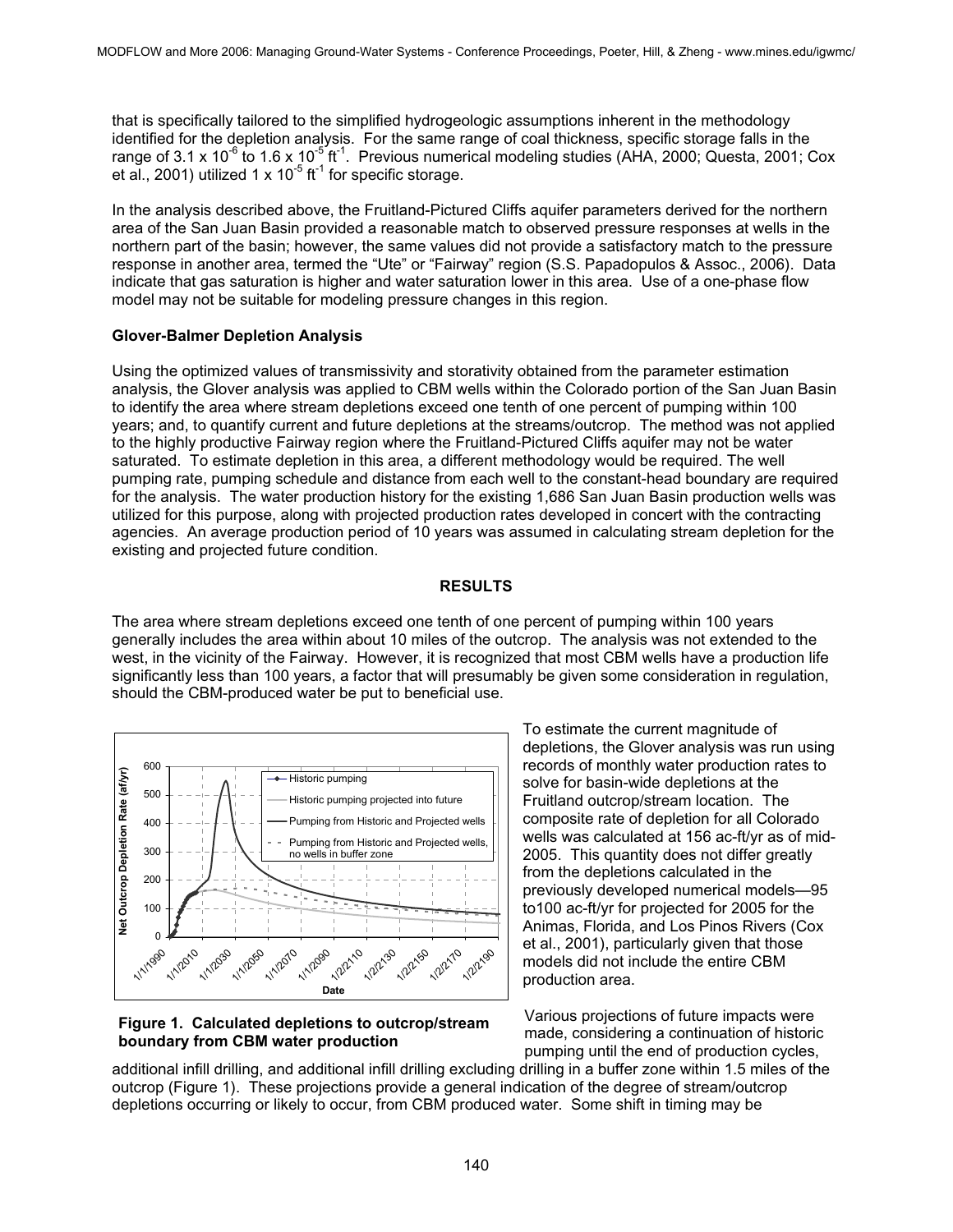that is specifically tailored to the simplified hydrogeologic assumptions inherent in the methodology identified for the depletion analysis. For the same range of coal thickness, specific storage falls in the range of 3.1 x 10<sup>-6</sup> to 1.6 x 10<sup>-5</sup> ft<sup>-1</sup>. Previous numerical modeling studies (AHA, 2000; Questa, 2001; Cox et al., 2001) utilized 1 x  $10^{-5}$  ft<sup>-1</sup> for specific storage.

In the analysis described above, the Fruitland-Pictured Cliffs aquifer parameters derived for the northern area of the San Juan Basin provided a reasonable match to observed pressure responses at wells in the northern part of the basin; however, the same values did not provide a satisfactory match to the pressure response in another area, termed the "Ute" or "Fairway" region (S.S. Papadopulos & Assoc., 2006). Data indicate that gas saturation is higher and water saturation lower in this area. Use of a one-phase flow model may not be suitable for modeling pressure changes in this region.

#### **Glover-Balmer Depletion Analysis**

Using the optimized values of transmissivity and storativity obtained from the parameter estimation analysis, the Glover analysis was applied to CBM wells within the Colorado portion of the San Juan Basin to identify the area where stream depletions exceed one tenth of one percent of pumping within 100 years; and, to quantify current and future depletions at the streams/outcrop. The method was not applied to the highly productive Fairway region where the Fruitland-Pictured Cliffs aquifer may not be water saturated. To estimate depletion in this area, a different methodology would be required. The well pumping rate, pumping schedule and distance from each well to the constant-head boundary are required for the analysis. The water production history for the existing 1,686 San Juan Basin production wells was utilized for this purpose, along with projected production rates developed in concert with the contracting agencies. An average production period of 10 years was assumed in calculating stream depletion for the existing and projected future condition.

### **RESULTS**

The area where stream depletions exceed one tenth of one percent of pumping within 100 years generally includes the area within about 10 miles of the outcrop. The analysis was not extended to the west, in the vicinity of the Fairway. However, it is recognized that most CBM wells have a production life significantly less than 100 years, a factor that will presumably be given some consideration in regulation, should the CBM-produced water be put to beneficial use.



**Figure 1. Calculated depletions to outcrop/stream boundary from CBM water production** 

To estimate the current magnitude of depletions, the Glover analysis was run using records of monthly water production rates to solve for basin-wide depletions at the Fruitland outcrop/stream location. The composite rate of depletion for all Colorado wells was calculated at 156 ac-ft/yr as of mid-2005. This quantity does not differ greatly from the depletions calculated in the previously developed numerical models—95 to100 ac-ft/yr for projected for 2005 for the Animas, Florida, and Los Pinos Rivers (Cox et al., 2001), particularly given that those models did not include the entire CBM production area.

Various projections of future impacts were made, considering a continuation of historic pumping until the end of production cycles,

additional infill drilling, and additional infill drilling excluding drilling in a buffer zone within 1.5 miles of the outcrop (Figure 1). These projections provide a general indication of the degree of stream/outcrop depletions occurring or likely to occur, from CBM produced water. Some shift in timing may be